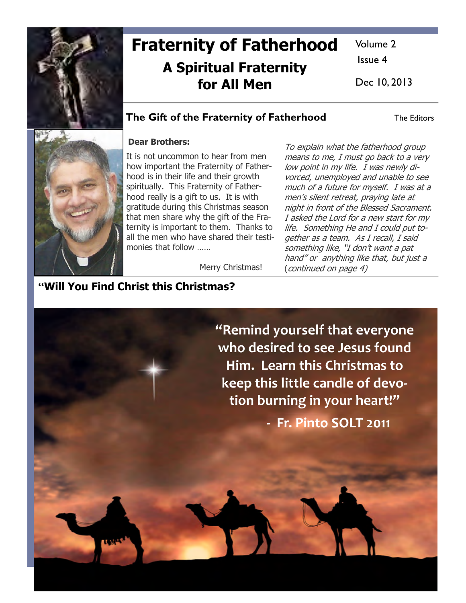

# Fraternity of Fatherhood A Spiritual Fraternity for All Men

Volume 2

Issue 4

Dec 10, 2013

### The Gift of the Fraternity of Fatherhood The Editors



#### Dear Brothers:

It is not uncommon to hear from men how important the Fraternity of Fatherhood is in their life and their growth spiritually. This Fraternity of Fatherhood really is a gift to us. It is with gratitude during this Christmas season that men share why the gift of the Fraternity is important to them. Thanks to all the men who have shared their testimonies that follow ……

To explain what the fatherhood group means to me, I must go back to a very low point in my life. I was newly divorced, unemployed and unable to see much of a future for myself. I was at a men's silent retreat, praying late at night in front of the Blessed Sacrament. I asked the Lord for a new start for my life. Something He and I could put together as a team. As I recall, I said something like, "I don't want a pat hand" or anything like that, but just a (continued on page 4)

Merry Christmas!

## "Will You Find Christ this Christmas?

"Remind yourself that everyone who desired to see Jesus found Him. Learn this Christmas to keep this little candle of devotion burning in your heart!" - Fr. Pinto SOLT 2011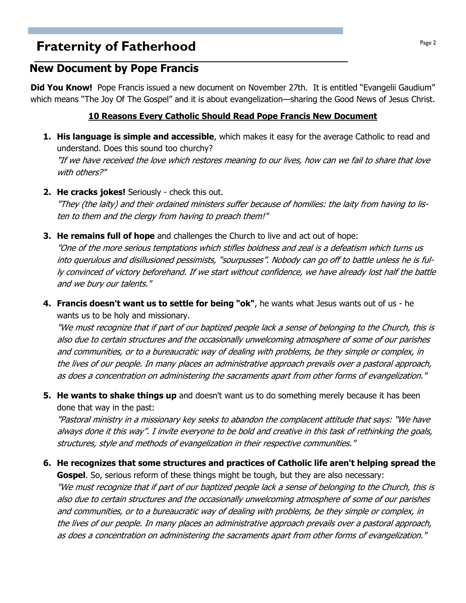## **Fraternity of Fatherhood Page 2 Page 2**

### New Document by Pope Francis

Did You Know! Pope Francis issued a new document on November 27th. It is entitled "Evangelii Gaudium" which means "The Joy Of The Gospel" and it is about evangelization—sharing the Good News of Jesus Christ.

#### 10 Reasons Every Catholic Should Read Pope Francis New Document

- 1. His language is simple and accessible, which makes it easy for the average Catholic to read and understand. Does this sound too churchy? "If we have received the love which restores meaning to our lives, how can we fail to share that love with others?"
- 2. He cracks jokes! Seriously check this out.

"They (the laity) and their ordained ministers suffer because of homilies: the laity from having to listen to them and the clergy from having to preach them!"

**3. He remains full of hope** and challenges the Church to live and act out of hope:

"One of the more serious temptations which stifles boldness and zeal is a defeatism which turns us into querulous and disillusioned pessimists, "sourpusses". Nobody can go off to battle unless he is fully convinced of victory beforehand. If we start without confidence, we have already lost half the battle and we bury our talents."

4. Francis doesn't want us to settle for being "ok", he wants what Jesus wants out of us - he wants us to be holy and missionary.

"We must recognize that if part of our baptized people lack a sense of belonging to the Church, this is also due to certain structures and the occasionally unwelcoming atmosphere of some of our parishes and communities, or to a bureaucratic way of dealing with problems, be they simple or complex, in the lives of our people. In many places an administrative approach prevails over a pastoral approach, as does a concentration on administering the sacraments apart from other forms of evangelization."

**5. He wants to shake things up** and doesn't want us to do something merely because it has been done that way in the past:

"Pastoral ministry in a missionary key seeks to abandon the complacent attitude that says: "We have always done it this way". I invite everyone to be bold and creative in this task of rethinking the goals, structures, style and methods of evangelization in their respective communities."

6. He recognizes that some structures and practices of Catholic life aren't helping spread the

**Gospel.** So, serious reform of these things might be tough, but they are also necessary: "We must recognize that if part of our baptized people lack a sense of belonging to the Church, this is also due to certain structures and the occasionally unwelcoming atmosphere of some of our parishes and communities, or to a bureaucratic way of dealing with problems, be they simple or complex, in the lives of our people. In many places an administrative approach prevails over a pastoral approach, as does a concentration on administering the sacraments apart from other forms of evangelization."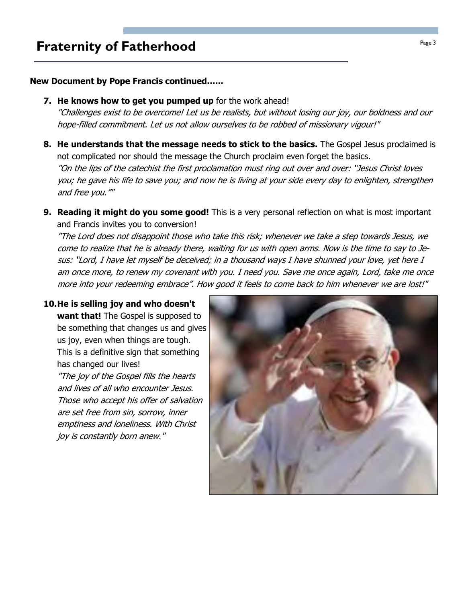## **Fraternity of Fatherhood Page 3**

#### New Document by Pope Francis continued…...

**7. He knows how to get you pumped up** for the work ahead!

"Challenges exist to be overcome! Let us be realists, but without losing our joy, our boldness and our hope-filled commitment. Let us not allow ourselves to be robbed of missionary vigour!"

- 8. He understands that the message needs to stick to the basics. The Gospel Jesus proclaimed is not complicated nor should the message the Church proclaim even forget the basics. "On the lips of the catechist the first proclamation must ring out over and over: "Jesus Christ loves you; he gave his life to save you; and now he is living at your side every day to enlighten, strengthen and free you.""
- 9. Reading it might do you some good! This is a very personal reflection on what is most important and Francis invites you to conversion!

"The Lord does not disappoint those who take this risk; whenever we take a step towards Jesus, we come to realize that he is already there, waiting for us with open arms. Now is the time to say to Jesus: "Lord, I have let myself be deceived; in a thousand ways I have shunned your love, yet here I am once more, to renew my covenant with you. I need you. Save me once again, Lord, take me once more into your redeeming embrace". How good it feels to come back to him whenever we are lost!"

#### 10. He is selling joy and who doesn't

joy is constantly born anew."

want that! The Gospel is supposed to be something that changes us and gives us joy, even when things are tough. This is a definitive sign that something has changed our lives! "The joy of the Gospel fills the hearts and lives of all who encounter Jesus. Those who accept his offer of salvation are set free from sin, sorrow, inner emptiness and loneliness. With Christ

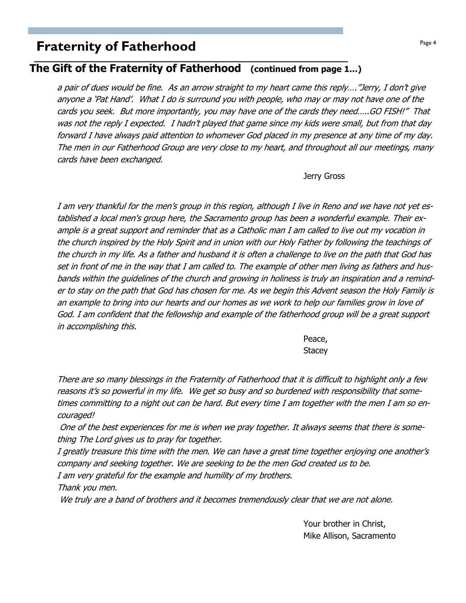## **Fraternity of Fatherhood Page 4**  $P_{\text{age 4}}$

### The Gift of the Fraternity of Fatherhood (continued from page 1…)

a pair of dues would be fine. As an arrow straight to my heart came this reply…."Jerry, I don't give anyone a 'Pat Hand'. What I do is surround you with people, who may or may not have one of the cards you seek. But more importantly, you may have one of the cards they need…..GO FISH!" That was not the reply I expected. I hadn't played that game since my kids were small, but from that day forward I have always paid attention to whomever God placed in my presence at any time of my day. The men in our Fatherhood Group are very close to my heart, and throughout all our meetings, many cards have been exchanged.

Jerry Gross

I am very thankful for the men's group in this region, although I live in Reno and we have not yet established a local men's group here, the Sacramento group has been a wonderful example. Their example is a great support and reminder that as a Catholic man I am called to live out my vocation in the church inspired by the Holy Spirit and in union with our Holy Father by following the teachings of the church in my life. As a father and husband it is often a challenge to live on the path that God has set in front of me in the way that I am called to. The example of other men living as fathers and husbands within the guidelines of the church and growing in holiness is truly an inspiration and a reminder to stay on the path that God has chosen for me. As we begin this Advent season the Holy Family is an example to bring into our hearts and our homes as we work to help our families grow in love of God. I am confident that the fellowship and example of the fatherhood group will be a great support in accomplishing this.

**Peace, and the contract of the contract of the Peace, and the contract of the contract of the contract of the contract of the contract of the contract of the contract of the contract of the contract of the contract of the Stacey** Stacey **Stacey** 

There are so many blessings in the Fraternity of Fatherhood that it is difficult to highlight only a few reasons it's so powerful in my life. We get so busy and so burdened with responsibility that sometimes committing to a night out can be hard. But every time I am together with the men I am so encouraged!

 One of the best experiences for me is when we pray together. It always seems that there is something The Lord gives us to pray for together.

I greatly treasure this time with the men. We can have a great time together enjoying one another's company and seeking together. We are seeking to be the men God created us to be.

I am very grateful for the example and humility of my brothers.

Thank you men.

We truly are a band of brothers and it becomes tremendously clear that we are not alone.

 Your brother in Christ, Mike Allison, Sacramento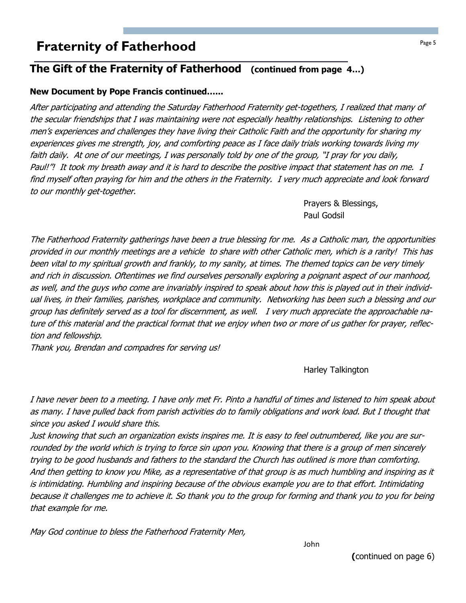## **Fraternity of Fatherhood Fraternity of Fatherhood**

### The Gift of the Fraternity of Fatherhood (continued from page 4…)

#### New Document by Pope Francis continued…...

After participating and attending the Saturday Fatherhood Fraternity get-togethers, I realized that many of the secular friendships that I was maintaining were not especially healthy relationships. Listening to other men's experiences and challenges they have living their Catholic Faith and the opportunity for sharing my experiences gives me strength, joy, and comforting peace as I face daily trials working towards living my faith daily. At one of our meetings, I was personally told by one of the group, "I pray for you daily, Paul!"! It took my breath away and it is hard to describe the positive impact that statement has on me. I find myself often praying for him and the others in the Fraternity. I very much appreciate and look forward to our monthly get-together.

> Prayers & Blessings, Paul Godsil

The Fatherhood Fraternity gatherings have been a true blessing for me. As a Catholic man, the opportunities provided in our monthly meetings are a vehicle to share with other Catholic men, which is a rarity! This has been vital to my spiritual growth and frankly, to my sanity, at times. The themed topics can be very timely and rich in discussion. Oftentimes we find ourselves personally exploring a poignant aspect of our manhood, as well, and the guys who come are invariably inspired to speak about how this is played out in their individual lives, in their families, parishes, workplace and community. Networking has been such a blessing and our group has definitely served as a tool for discernment, as well. I very much appreciate the approachable nature of this material and the practical format that we enjoy when two or more of us gather for prayer, reflection and fellowship.

Thank you, Brendan and compadres for serving us!

Harley Talkington

I have never been to a meeting. I have only met Fr. Pinto a handful of times and listened to him speak about as many. I have pulled back from parish activities do to family obligations and work load. But I thought that since you asked I would share this.

Just knowing that such an organization exists inspires me. It is easy to feel outnumbered, like you are surrounded by the world which is trying to force sin upon you. Knowing that there is a group of men sincerely trying to be good husbands and fathers to the standard the Church has outlined is more than comforting. And then getting to know you Mike, as a representative of that group is as much humbling and inspiring as it is intimidating. Humbling and inspiring because of the obvious example you are to that effort. Intimidating because it challenges me to achieve it. So thank you to the group for forming and thank you to you for being that example for me.

May God continue to bless the Fatherhood Fraternity Men,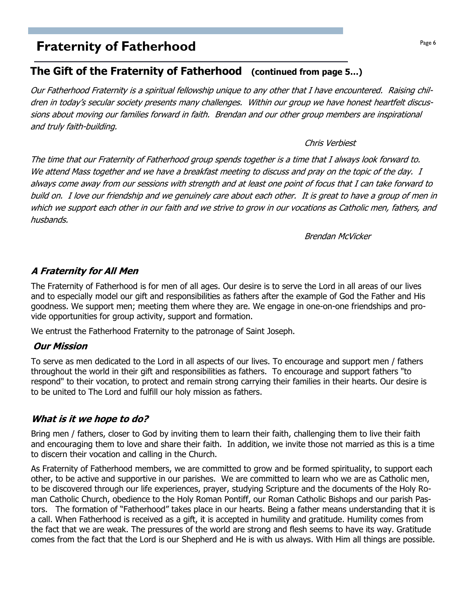## **Praternity of Fatherhood Page 6**  $\frac{Page6}{Page6}$

### The Gift of the Fraternity of Fatherhood (continued from page 5…)

Our Fatherhood Fraternity is a spiritual fellowship unique to any other that I have encountered. Raising children in today's secular society presents many challenges. Within our group we have honest heartfelt discussions about moving our families forward in faith. Brendan and our other group members are inspirational and truly faith-building.

#### Chris Verbiest

The time that our Fraternity of Fatherhood group spends together is a time that I always look forward to. We attend Mass together and we have a breakfast meeting to discuss and pray on the topic of the day. I always come away from our sessions with strength and at least one point of focus that I can take forward to build on. I love our friendship and we genuinely care about each other. It is great to have a group of men in which we support each other in our faith and we strive to grow in our vocations as Catholic men, fathers, and husbands.

Brendan McVicker

#### A Fraternity for All Men

The Fraternity of Fatherhood is for men of all ages. Our desire is to serve the Lord in all areas of our lives and to especially model our gift and responsibilities as fathers after the example of God the Father and His goodness. We support men; meeting them where they are. We engage in one-on-one friendships and provide opportunities for group activity, support and formation.

We entrust the Fatherhood Fraternity to the patronage of Saint Joseph.

#### Our Mission

To serve as men dedicated to the Lord in all aspects of our lives. To encourage and support men / fathers throughout the world in their gift and responsibilities as fathers. To encourage and support fathers "to respond" to their vocation, to protect and remain strong carrying their families in their hearts. Our desire is to be united to The Lord and fulfill our holy mission as fathers.

#### What is it we hope to do?

Bring men / fathers, closer to God by inviting them to learn their faith, challenging them to live their faith and encouraging them to love and share their faith. In addition, we invite those not married as this is a time to discern their vocation and calling in the Church.

As Fraternity of Fatherhood members, we are committed to grow and be formed spirituality, to support each other, to be active and supportive in our parishes. We are committed to learn who we are as Catholic men, to be discovered through our life experiences, prayer, studying Scripture and the documents of the Holy Roman Catholic Church, obedience to the Holy Roman Pontiff, our Roman Catholic Bishops and our parish Pastors. The formation of "Fatherhood" takes place in our hearts. Being a father means understanding that it is a call. When Fatherhood is received as a gift, it is accepted in humility and gratitude. Humility comes from the fact that we are weak. The pressures of the world are strong and flesh seems to have its way. Gratitude comes from the fact that the Lord is our Shepherd and He is with us always. With Him all things are possible.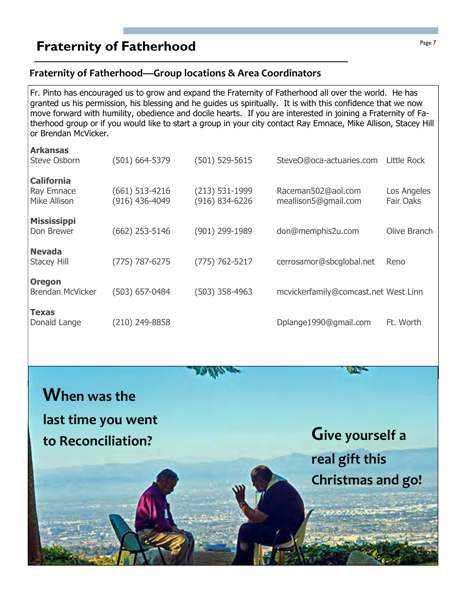## **Fraternity of Fatherhood Page 7** Fraternity of Fatherhood

#### Fraternity of Fatherhood—Group locations & Area Coordinators

Fr. Pinto has encouraged us to grow and expand the Fraternity of Fatherhood all over the world. He has granted us his permission, his blessing and he guides us spiritually. It is with this confidence that we now move forward with humility, obedience and docile hearts. If you are interested in joining a Fraternity of Fatherhood group or if you would like to start a group in your city contact Ray Emnace, Mike Allison, Stacey Hill or Brendan McVicker.

| <b>Arkansas</b>                     |                |                    |                                      |                  |
|-------------------------------------|----------------|--------------------|--------------------------------------|------------------|
| <b>Steve Osborn</b>                 | (501) 664-5379 | $(501) 529 - 5615$ | SteveO@oca-actuaries.com             | Little Rock      |
| <b>California</b>                   |                |                    |                                      |                  |
| Ray Emnace                          | (661) 513-4216 | $(213) 531 - 1999$ | Raceman502@aol.com                   | Los Angeles      |
| Mike Allison                        | (916) 436-4049 | (916) 834-6226     | meallison5@gmail.com                 | <b>Fair Oaks</b> |
| <b>Mississippi</b>                  |                |                    |                                      |                  |
| Don Brewer                          | (662) 253-5146 | (901) 299-1989     | don@memphis2u.com                    | Olive Branch     |
|                                     |                |                    |                                      |                  |
| <b>Nevada</b><br><b>Stacey Hill</b> | (775) 787-6275 | $(775) 762 - 5217$ | cerrosamor@sbcqlobal.net             | Reno             |
|                                     |                |                    |                                      |                  |
| <b>Oregon</b>                       |                |                    |                                      |                  |
| <b>Brendan McVicker</b>             | (503) 657-0484 | (503) 358-4963     | mcvickerfamily@comcast.net West Linn |                  |
|                                     |                |                    |                                      |                  |
| <b>Texas</b><br>Donald Lange        | (210) 249-8858 |                    | Dplange1990@qmail.com                | Ft. Worth        |
|                                     |                |                    |                                      |                  |

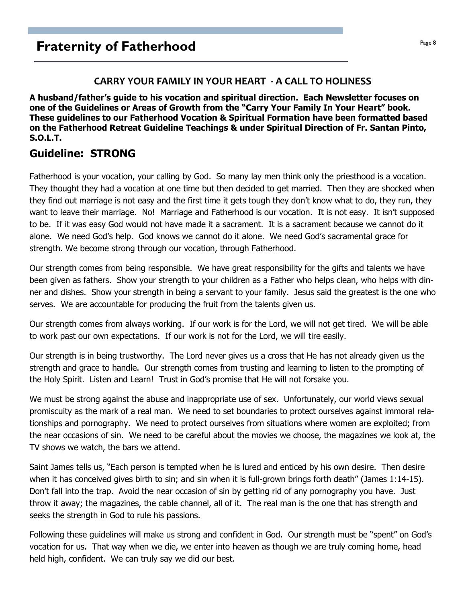#### CARRY YOUR FAMILY IN YOUR HEART - A CALL TO HOLINESS

A husband/father's guide to his vocation and spiritual direction. Each Newsletter focuses on one of the Guidelines or Areas of Growth from the "Carry Your Family In Your Heart" book. These guidelines to our Fatherhood Vocation & Spiritual Formation have been formatted based on the Fatherhood Retreat Guideline Teachings & under Spiritual Direction of Fr. Santan Pinto, S.O.L.T.

### Guideline: STRONG

Fatherhood is your vocation, your calling by God. So many lay men think only the priesthood is a vocation. They thought they had a vocation at one time but then decided to get married. Then they are shocked when they find out marriage is not easy and the first time it gets tough they don't know what to do, they run, they want to leave their marriage. No! Marriage and Fatherhood is our vocation. It is not easy. It isn't supposed to be. If it was easy God would not have made it a sacrament. It is a sacrament because we cannot do it alone. We need God's help. God knows we cannot do it alone. We need God's sacramental grace for strength. We become strong through our vocation, through Fatherhood.

Our strength comes from being responsible. We have great responsibility for the gifts and talents we have been given as fathers. Show your strength to your children as a Father who helps clean, who helps with dinner and dishes. Show your strength in being a servant to your family. Jesus said the greatest is the one who serves. We are accountable for producing the fruit from the talents given us.

Our strength comes from always working. If our work is for the Lord, we will not get tired. We will be able to work past our own expectations. If our work is not for the Lord, we will tire easily.

Our strength is in being trustworthy. The Lord never gives us a cross that He has not already given us the strength and grace to handle. Our strength comes from trusting and learning to listen to the prompting of the Holy Spirit. Listen and Learn! Trust in God's promise that He will not forsake you.

We must be strong against the abuse and inappropriate use of sex. Unfortunately, our world views sexual promiscuity as the mark of a real man. We need to set boundaries to protect ourselves against immoral relationships and pornography. We need to protect ourselves from situations where women are exploited; from the near occasions of sin. We need to be careful about the movies we choose, the magazines we look at, the TV shows we watch, the bars we attend.

Saint James tells us, "Each person is tempted when he is lured and enticed by his own desire. Then desire when it has conceived gives birth to sin; and sin when it is full-grown brings forth death" (James 1:14-15). Don't fall into the trap. Avoid the near occasion of sin by getting rid of any pornography you have. Just throw it away; the magazines, the cable channel, all of it. The real man is the one that has strength and seeks the strength in God to rule his passions.

Following these guidelines will make us strong and confident in God. Our strength must be "spent" on God's vocation for us. That way when we die, we enter into heaven as though we are truly coming home, head held high, confident. We can truly say we did our best.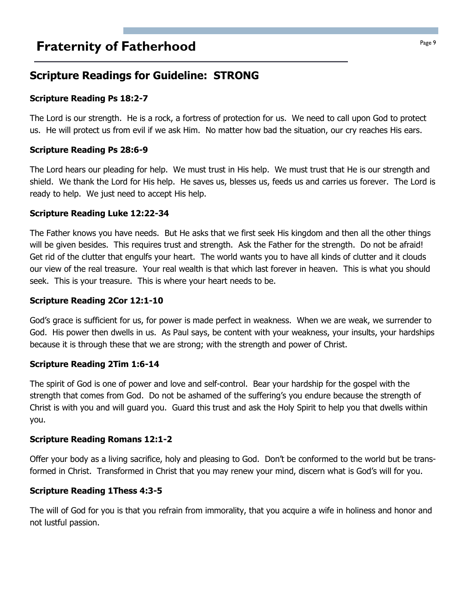## **Praternity of Fatherhood Page 9** Fraternity of Fatherhood

## Scripture Readings for Guideline: STRONG

#### Scripture Reading Ps 18:2-7

The Lord is our strength. He is a rock, a fortress of protection for us. We need to call upon God to protect us. He will protect us from evil if we ask Him. No matter how bad the situation, our cry reaches His ears.

#### Scripture Reading Ps 28:6-9

The Lord hears our pleading for help. We must trust in His help. We must trust that He is our strength and shield. We thank the Lord for His help. He saves us, blesses us, feeds us and carries us forever. The Lord is ready to help. We just need to accept His help.

#### Scripture Reading Luke 12:22-34

The Father knows you have needs. But He asks that we first seek His kingdom and then all the other things will be given besides. This requires trust and strength. Ask the Father for the strength. Do not be afraid! Get rid of the clutter that engulfs your heart. The world wants you to have all kinds of clutter and it clouds our view of the real treasure. Your real wealth is that which last forever in heaven. This is what you should seek. This is your treasure. This is where your heart needs to be.

#### Scripture Reading 2Cor 12:1-10

God's grace is sufficient for us, for power is made perfect in weakness. When we are weak, we surrender to God. His power then dwells in us. As Paul says, be content with your weakness, your insults, your hardships because it is through these that we are strong; with the strength and power of Christ.

#### Scripture Reading 2Tim 1:6-14

The spirit of God is one of power and love and self-control. Bear your hardship for the gospel with the strength that comes from God. Do not be ashamed of the suffering's you endure because the strength of Christ is with you and will guard you. Guard this trust and ask the Holy Spirit to help you that dwells within you.

#### Scripture Reading Romans 12:1-2

Offer your body as a living sacrifice, holy and pleasing to God. Don't be conformed to the world but be transformed in Christ. Transformed in Christ that you may renew your mind, discern what is God's will for you.

#### Scripture Reading 1Thess 4:3-5

The will of God for you is that you refrain from immorality, that you acquire a wife in holiness and honor and not lustful passion.